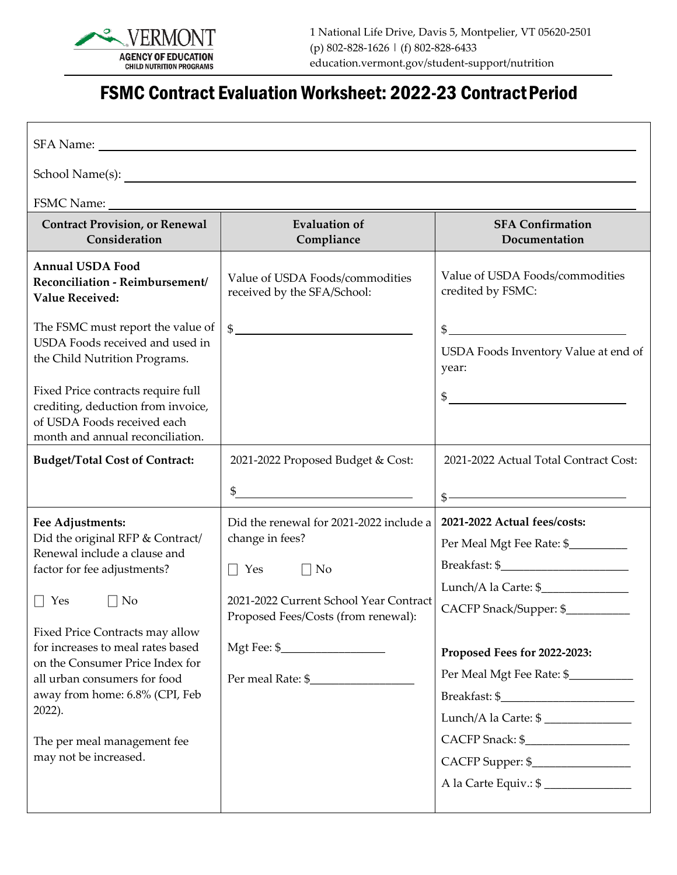

## FSMC Contract Evaluation Worksheet: 2022-23 Contract Period

| <b>Contract Provision, or Renewal</b><br>Consideration                                                                                                                                                                                                                                                                                                                                        | <b>Evaluation of</b><br>Compliance                                                                                                                                  | <b>SFA Confirmation</b><br>Documentation                                                                                                                                                                                    |  |
|-----------------------------------------------------------------------------------------------------------------------------------------------------------------------------------------------------------------------------------------------------------------------------------------------------------------------------------------------------------------------------------------------|---------------------------------------------------------------------------------------------------------------------------------------------------------------------|-----------------------------------------------------------------------------------------------------------------------------------------------------------------------------------------------------------------------------|--|
| <b>Annual USDA Food</b><br>Reconciliation - Reimbursement/<br><b>Value Received:</b>                                                                                                                                                                                                                                                                                                          | Value of USDA Foods/commodities<br>received by the SFA/School:                                                                                                      | Value of USDA Foods/commodities<br>credited by FSMC:                                                                                                                                                                        |  |
| The FSMC must report the value of<br>USDA Foods received and used in<br>the Child Nutrition Programs.<br>Fixed Price contracts require full<br>crediting, deduction from invoice,<br>of USDA Foods received each<br>month and annual reconciliation.                                                                                                                                          | $\frac{1}{2}$                                                                                                                                                       | $\quad \  \  \, \$$<br>USDA Foods Inventory Value at end of<br>year:<br>$\frac{1}{2}$                                                                                                                                       |  |
| <b>Budget/Total Cost of Contract:</b>                                                                                                                                                                                                                                                                                                                                                         | 2021-2022 Proposed Budget & Cost:                                                                                                                                   | 2021-2022 Actual Total Contract Cost:                                                                                                                                                                                       |  |
|                                                                                                                                                                                                                                                                                                                                                                                               | $\mathfrak{S}$<br><u> 1989 - Johann Stoff, fransk politik (d. 1989)</u>                                                                                             | $\frac{\frac{1}{2} + \frac{1}{2} + \frac{1}{2}}{\frac{1}{2} + \frac{1}{2} + \frac{1}{2} + \frac{1}{2} + \frac{1}{2}}$                                                                                                       |  |
| Fee Adjustments:<br>Did the original RFP & Contract/<br>Renewal include a clause and<br>factor for fee adjustments?<br>$\Box$ Yes<br>$\Box$ No<br>Fixed Price Contracts may allow<br>for increases to meal rates based<br>on the Consumer Price Index for<br>all urban consumers for food<br>away from home: 6.8% (CPI, Feb<br>2022).<br>The per meal management fee<br>may not be increased. | Did the renewal for 2021-2022 include a<br>change in fees?<br>$\Box$ Yes $\Box$ No<br>2021-2022 Current School Year Contract<br>Proposed Fees/Costs (from renewal): | 2021-2022 Actual fees/costs:<br>Per Meal Mgt Fee Rate: \$<br>CACFP Snack/Supper: \$<br>Proposed Fees for 2022-2023:<br>Per Meal Mgt Fee Rate: \$____________<br>Lunch/A la Carte: \$<br>CACFP Snack: \$<br>CACFP Supper: \$ |  |
|                                                                                                                                                                                                                                                                                                                                                                                               |                                                                                                                                                                     | A la Carte Equiv.: \$                                                                                                                                                                                                       |  |